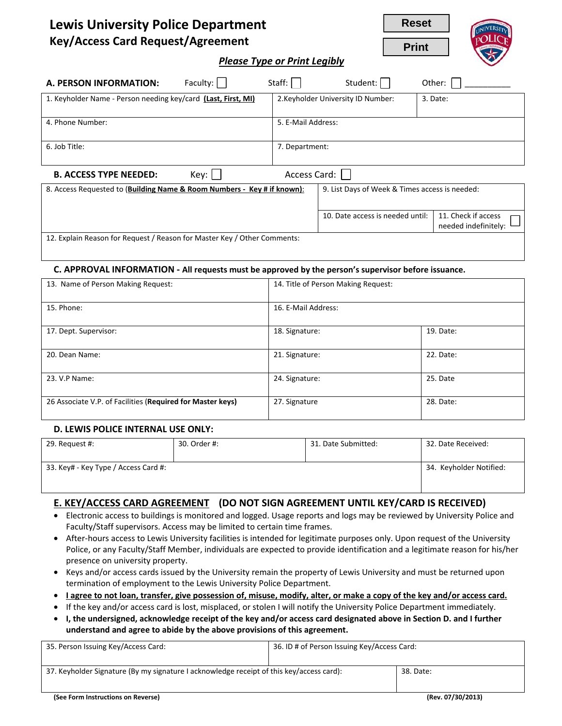| <b>Lewis University Police Department</b> |
|-------------------------------------------|
| <b>Key/Access Card Request/Agreement</b>  |

**Reset Print**



*Please Type or Print Legibly*

| A. PERSON INFORMATION:                                                   | Faculty: | Staff:                                         | Student:                           | Other:                                      |
|--------------------------------------------------------------------------|----------|------------------------------------------------|------------------------------------|---------------------------------------------|
| 1. Keyholder Name - Person needing key/card (Last, First, MI)            |          |                                                | 2. Keyholder University ID Number: | 3. Date:                                    |
| 4. Phone Number:                                                         |          | 5. E-Mail Address:                             |                                    |                                             |
| 6. Job Title:                                                            |          | 7. Department:                                 |                                    |                                             |
| Access Card:<br>Key:<br><b>B. ACCESS TYPE NEEDED:</b>                    |          |                                                |                                    |                                             |
| 8. Access Requested to (Building Name & Room Numbers - Key # if known):  |          | 9. List Days of Week & Times access is needed: |                                    |                                             |
|                                                                          |          |                                                | 10. Date access is needed until:   | 11. Check if access<br>needed indefinitely: |
| 12. Explain Reason for Request / Reason for Master Key / Other Comments: |          |                                                |                                    |                                             |

#### **C. APPROVAL INFORMATION - All requests must be approved by the person's supervisor before issuance.**

| 13. Name of Person Making Request:                         | 14. Title of Person Making Request: |           |
|------------------------------------------------------------|-------------------------------------|-----------|
|                                                            |                                     |           |
| 15. Phone:                                                 | 16. E-Mail Address:                 |           |
|                                                            |                                     |           |
| 17. Dept. Supervisor:                                      | 18. Signature:                      | 19. Date: |
|                                                            |                                     |           |
| 20. Dean Name:                                             | 21. Signature:                      | 22. Date: |
|                                                            |                                     |           |
| 23. V.P Name:                                              | 24. Signature:                      | 25. Date  |
|                                                            |                                     |           |
| 26 Associate V.P. of Facilities (Required for Master keys) | 27. Signature                       | 28. Date: |
|                                                            |                                     |           |

#### **D. LEWIS POLICE INTERNAL USE ONLY:**

| 29. Request #:                       | 30. Order #: | 31. Date Submitted: | 32. Date Received:      |
|--------------------------------------|--------------|---------------------|-------------------------|
| 33. Key# - Key Type / Access Card #: |              |                     | 34. Keyholder Notified: |

#### **E. KEY/ACCESS CARD AGREEMENT (DO NOT SIGN AGREEMENT UNTIL KEY/CARD IS RECEIVED)**

- Electronic access to buildings is monitored and logged. Usage reports and logs may be reviewed by University Police and Faculty/Staff supervisors. Access may be limited to certain time frames.
- After-hours access to Lewis University facilities is intended for legitimate purposes only. Upon request of the University Police, or any Faculty/Staff Member, individuals are expected to provide identification and a legitimate reason for his/her presence on university property.
- Keys and/or access cards issued by the University remain the property of Lewis University and must be returned upon termination of employment to the Lewis University Police Department.
- **I agree to not loan, transfer, give possession of, misuse, modify, alter, or make a copy of the key and/or access card.**
- If the key and/or access card is lost, misplaced, or stolen I will notify the University Police Department immediately.
- **I, the undersigned, acknowledge receipt of the key and/or access card designated above in Section D. and I further understand and agree to abide by the above provisions of this agreement.**

| 35. Person Issuing Key/Access Card:                                                      | 36. ID # of Person Issuing Key/Access Card: |                   |
|------------------------------------------------------------------------------------------|---------------------------------------------|-------------------|
|                                                                                          |                                             |                   |
| 37. Keyholder Signature (By my signature I acknowledge receipt of this key/access card): |                                             | 38. Date:         |
|                                                                                          |                                             |                   |
| (See Form Instructions on Reverse)                                                       |                                             | (Rev. 07/30/2013) |